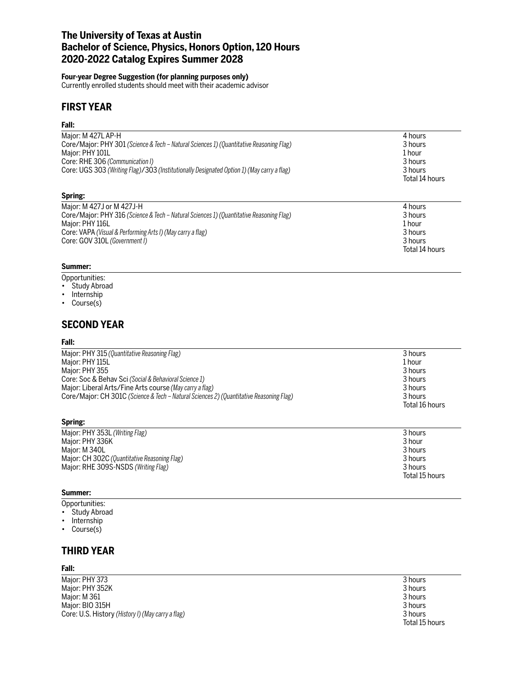# **The University of Texas at Austin Bachelor of Science, Physics, Honors Option, 120 Hours 2020-2022 Catalog Expires Summer 2028**

## **Four-year Degree Suggestion (for planning purposes only)**

Currently enrolled students should meet with their academic advisor

# **FIRST YEAR**

#### **Fall:**

| Major: M 427L AP-H                                                                        | 4 hours        |
|-------------------------------------------------------------------------------------------|----------------|
| Core/Major: PHY 301 (Science & Tech - Natural Sciences 1) (Quantitative Reasoning Flag)   | 3 hours        |
| Major: PHY 101L                                                                           | 1 hour         |
| Core: RHE 306 (Communication I)                                                           | 3 hours        |
| Core: UGS 303 (Writing Flag)/303 (Institutionally Designated Option 1) (May carry a flag) | 3 hours        |
|                                                                                           | Total 14 hours |
| Spring:                                                                                   |                |
| Major: M 427J or M 427J-H                                                                 | 4 hours        |
| Core/Major: PHY 316 (Science & Tech - Natural Sciences 1) (Quantitative Reasoning Flag)   | 3 hours        |
| Major: PHY 116L                                                                           | 1 hour         |
| Core: VAPA (Visual & Performing Arts I) (May carry a flag)                                | 3 hours        |
| Core: GOV 310L (Government I)                                                             | 3 hours        |
|                                                                                           | Total 14 hours |

## **Summer:**

- Opportunities:
- Study Abroad
- Internship
- Course(s)

## **SECOND YEAR**

#### **Fall:**

| Major: PHY 315 (Quantitative Reasoning Flag)                                            | 3 hours                   |
|-----------------------------------------------------------------------------------------|---------------------------|
| Major: PHY 115L                                                                         | 1 hour                    |
| Major: PHY 355                                                                          | 3 hours                   |
| Core: Soc & Behav Sci (Social & Behavioral Science 1)                                   | 3 hours                   |
| Major: Liberal Arts/Fine Arts course (May carry a flag)                                 | 3 hours                   |
| Core/Major: CH 301C (Science & Tech – Natural Sciences 2) (Quantitative Reasoning Flag) | 3 hours<br>Total 16 hours |

### **Spring:**

| Major: PHY 353L (Writing Flag)               | 3 hours        |
|----------------------------------------------|----------------|
| Maior: PHY 336K                              | 3 hour         |
| Maior: M 340L                                | 3 hours        |
| Major: CH 302C (Quantitative Reasoning Flag) | 3 hours        |
| Major: RHE 309S-NSDS (Writing Flag)          | 3 hours        |
|                                              | Total 15 hours |

## **Summer:**

- Opportunities:
- Study Abroad
- Internship
- Course(s)

# **THIRD YEAR**

#### **Fall:**

Major: PHY 373 Major: PHY 352K Major: M 361 Major: BIO 315H Core: U.S. History (History I) (May carry a flag)

| 3 hours        |
|----------------|
| 3 hours        |
| 3 hours        |
| 3 hours        |
| 3 hours        |
| Total 15 hours |